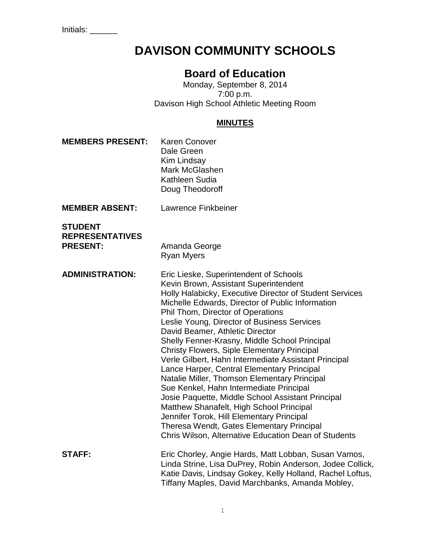Initials: \_\_\_\_\_\_

# **DAVISON COMMUNITY SCHOOLS**

# **Board of Education**

Monday, September 8, 2014 7:00 p.m. Davison High School Athletic Meeting Room

#### **MINUTES**

- **MEMBERS PRESENT:** Karen Conover Dale Green Kim Lindsay Mark McGlashen Kathleen Sudia Doug Theodoroff
- **MEMBER ABSENT:** Lawrence Finkbeiner

| <b>STUDENT</b>         |
|------------------------|
| <b>REPRESENTATIVES</b> |
| <b>PRESENT:</b>        |

**PRESENT:** Amanda George Ryan Myers

**ADMINISTRATION:** Eric Lieske, Superintendent of Schools Kevin Brown, Assistant Superintendent Holly Halabicky, Executive Director of Student Services Michelle Edwards, Director of Public Information Phil Thom, Director of Operations Leslie Young, Director of Business Services David Beamer, Athletic Director Shelly Fenner-Krasny, Middle School Principal Christy Flowers, Siple Elementary Principal Verle Gilbert, Hahn Intermediate Assistant Principal Lance Harper, Central Elementary Principal Natalie Miller, Thomson Elementary Principal Sue Kenkel, Hahn Intermediate Principal Josie Paquette, Middle School Assistant Principal Matthew Shanafelt, High School Principal Jennifer Torok, Hill Elementary Principal Theresa Wendt, Gates Elementary Principal Chris Wilson, Alternative Education Dean of Students **STAFF:** Eric Chorley, Angie Hards, Matt Lobban, Susan Vamos, Linda Strine, Lisa DuPrey, Robin Anderson, Jodee Collick, Katie Davis, Lindsay Gokey, Kelly Holland, Rachel Loftus, Tiffany Maples, David Marchbanks, Amanda Mobley,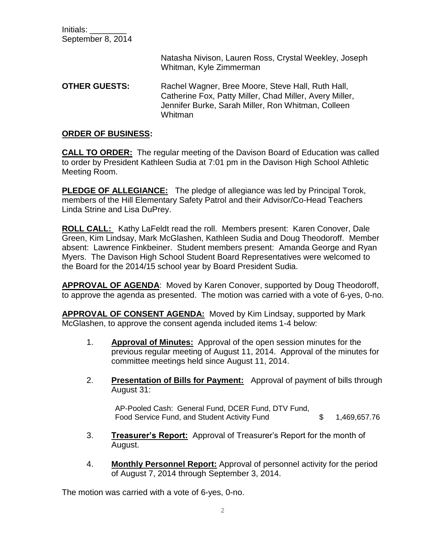Initials: \_\_\_\_\_\_\_\_ September 8, 2014

> Natasha Nivison, Lauren Ross, Crystal Weekley, Joseph Whitman, Kyle Zimmerman

**OTHER GUESTS:** Rachel Wagner, Bree Moore, Steve Hall, Ruth Hall, Catherine Fox, Patty Miller, Chad Miller, Avery Miller, Jennifer Burke, Sarah Miller, Ron Whitman, Colleen Whitman

#### **ORDER OF BUSINESS:**

**CALL TO ORDER:** The regular meeting of the Davison Board of Education was called to order by President Kathleen Sudia at 7:01 pm in the Davison High School Athletic Meeting Room.

**PLEDGE OF ALLEGIANCE:** The pledge of allegiance was led by Principal Torok, members of the Hill Elementary Safety Patrol and their Advisor/Co-Head Teachers Linda Strine and Lisa DuPrey.

**ROLL CALL:** Kathy LaFeldt read the roll. Members present: Karen Conover, Dale Green, Kim Lindsay, Mark McGlashen, Kathleen Sudia and Doug Theodoroff. Member absent: Lawrence Finkbeiner. Student members present: Amanda George and Ryan Myers. The Davison High School Student Board Representatives were welcomed to the Board for the 2014/15 school year by Board President Sudia.

**APPROVAL OF AGENDA**: Moved by Karen Conover, supported by Doug Theodoroff, to approve the agenda as presented. The motion was carried with a vote of 6-yes, 0-no.

**APPROVAL OF CONSENT AGENDA:** Moved by Kim Lindsay, supported by Mark McGlashen, to approve the consent agenda included items 1-4 below:

- 1. **Approval of Minutes:** Approval of the open session minutes for the previous regular meeting of August 11, 2014. Approval of the minutes for committee meetings held since August 11, 2014.
- 2. **Presentation of Bills for Payment:** Approval of payment of bills through August 31:

AP-Pooled Cash: General Fund, DCER Fund, DTV Fund, Food Service Fund, and Student Activity Fund  $$ 1,469,657.76$ 

- 3. **Treasurer's Report:** Approval of Treasurer's Report for the month of August.
- 4. **Monthly Personnel Report:** Approval of personnel activity for the period of August 7, 2014 through September 3, 2014.

The motion was carried with a vote of 6-yes, 0-no.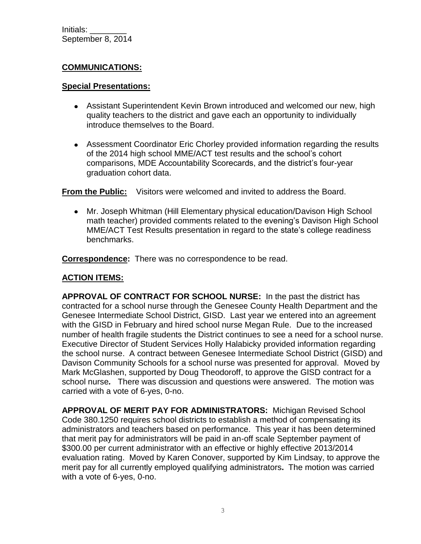# **COMMUNICATIONS:**

#### **Special Presentations:**

- Assistant Superintendent Kevin Brown introduced and welcomed our new, high quality teachers to the district and gave each an opportunity to individually introduce themselves to the Board.
- Assessment Coordinator Eric Chorley provided information regarding the results of the 2014 high school MME/ACT test results and the school's cohort comparisons, MDE Accountability Scorecards, and the district's four-year graduation cohort data.

**From the Public:** Visitors were welcomed and invited to address the Board.

Mr. Joseph Whitman (Hill Elementary physical education/Davison High School math teacher) provided comments related to the evening's Davison High School MME/ACT Test Results presentation in regard to the state's college readiness benchmarks.

**Correspondence:** There was no correspondence to be read.

### **ACTION ITEMS:**

**APPROVAL OF CONTRACT FOR SCHOOL NURSE:** In the past the district has contracted for a school nurse through the Genesee County Health Department and the Genesee Intermediate School District, GISD. Last year we entered into an agreement with the GISD in February and hired school nurse Megan Rule. Due to the increased number of health fragile students the District continues to see a need for a school nurse. Executive Director of Student Services Holly Halabicky provided information regarding the school nurse. A contract between Genesee Intermediate School District (GISD) and Davison Community Schools for a school nurse was presented for approval. Moved by Mark McGlashen, supported by Doug Theodoroff, to approve the GISD contract for a school nurse*.* There was discussion and questions were answered. The motion was carried with a vote of 6-yes, 0-no.

**APPROVAL OF MERIT PAY FOR ADMINISTRATORS:** Michigan Revised School Code 380.1250 requires school districts to establish a method of compensating its administrators and teachers based on performance. This year it has been determined that merit pay for administrators will be paid in an-off scale September payment of \$300.00 per current administrator with an effective or highly effective 2013/2014 evaluation rating. Moved by Karen Conover, supported by Kim Lindsay, to approve the merit pay for all currently employed qualifying administrators**.** The motion was carried with a vote of 6-yes, 0-no.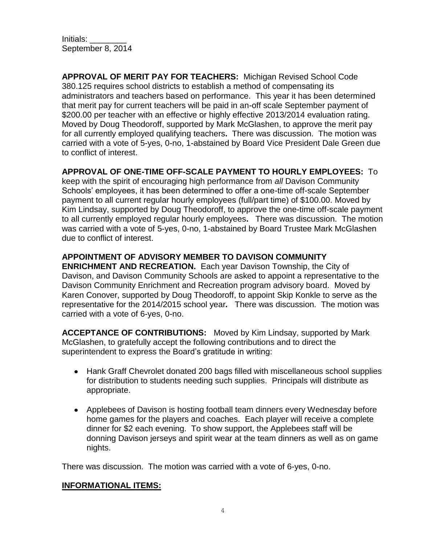Initials: \_\_\_\_\_\_\_\_ September 8, 2014

**APPROVAL OF MERIT PAY FOR TEACHERS:** Michigan Revised School Code 380.125 requires school districts to establish a method of compensating its administrators and teachers based on performance. This year it has been determined that merit pay for current teachers will be paid in an-off scale September payment of \$200.00 per teacher with an effective or highly effective 2013/2014 evaluation rating. Moved by Doug Theodoroff, supported by Mark McGlashen, to approve the merit pay for all currently employed qualifying teachers**.** There was discussion. The motion was carried with a vote of 5-yes, 0-no, 1-abstained by Board Vice President Dale Green due to conflict of interest.

#### **APPROVAL OF ONE-TIME OFF-SCALE PAYMENT TO HOURLY EMPLOYEES:** To

keep with the spirit of encouraging high performance from *all* Davison Community Schools' employees, it has been determined to offer a one-time off-scale September payment to all current regular hourly employees (full/part time) of \$100.00. Moved by Kim Lindsay, supported by Doug Theodoroff, to approve the one-time off-scale payment to all currently employed regular hourly employees**.** There was discussion. The motion was carried with a vote of 5-yes, 0-no, 1-abstained by Board Trustee Mark McGlashen due to conflict of interest.

# **APPOINTMENT OF ADVISORY MEMBER TO DAVISON COMMUNITY**

**ENRICHMENT AND RECREATION.** Each year Davison Township, the City of Davison, and Davison Community Schools are asked to appoint a representative to the Davison Community Enrichment and Recreation program advisory board. Moved by Karen Conover, supported by Doug Theodoroff, to appoint Skip Konkle to serve as the representative for the 2014/2015 school year*.* There was discussion. The motion was carried with a vote of 6-yes, 0-no.

**ACCEPTANCE OF CONTRIBUTIONS:** Moved by Kim Lindsay, supported by Mark McGlashen, to gratefully accept the following contributions and to direct the superintendent to express the Board's gratitude in writing:

- Hank Graff Chevrolet donated 200 bags filled with miscellaneous school supplies for distribution to students needing such supplies. Principals will distribute as appropriate.
- Applebees of Davison is hosting football team dinners every Wednesday before home games for the players and coaches. Each player will receive a complete dinner for \$2 each evening. To show support, the Applebees staff will be donning Davison jerseys and spirit wear at the team dinners as well as on game nights.

There was discussion. The motion was carried with a vote of 6-yes, 0-no.

#### **INFORMATIONAL ITEMS:**